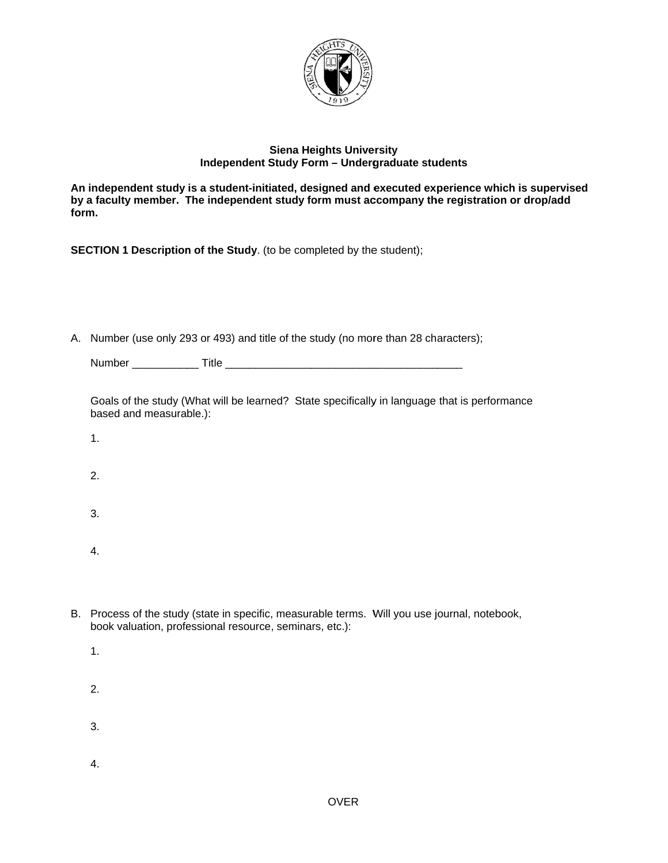

## **Siena Heights University** Independent Study Form - Undergraduate students

An independent study is a student-initiated, designed and executed experience which is supervised by a faculty member. The independent study form must accompany the registration or drop/add form.

SECTION 1 Description of the Study. (to be completed by the student);

A. Number (use only 293 or 493) and title of the study (no more than 28 characters);

| Number | .<br>ΊС |  |
|--------|---------|--|
|        |         |  |

|                         | Goals of the study (What will be learned? State specifically in language that is performance |
|-------------------------|----------------------------------------------------------------------------------------------|
| based and measurable.): |                                                                                              |

- $\mathbf{1}$ .
- $2.$
- 3.
- 
- $\overline{4}$ .
- B. Process of the study (state in specific, measurable terms. Will you use journal, notebook, book valuation, professional resource, seminars, etc.):
	- $1.$
	- 2.
	- 3.
	-
	-
	- $4.$